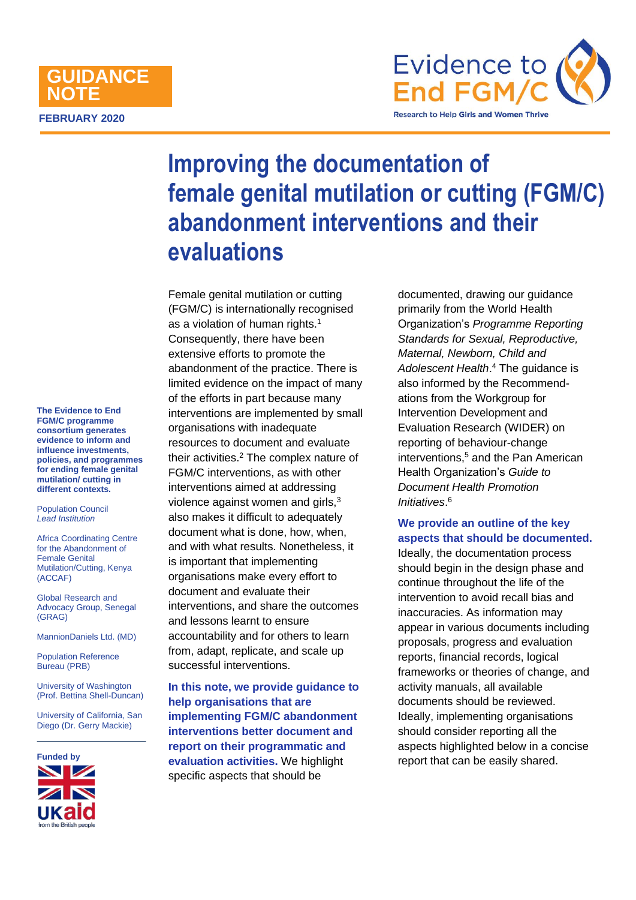# **FEBRUARY 2020 GUIDANCE NOTE**



# **Improving the documentation of female genital mutilation or cutting (FGM/C) abandonment interventions and their evaluations**

Female genital mutilation or cutting (FGM/C) is internationally recognised as a violation of human rights.<sup>1</sup> Consequently, there have been extensive efforts to promote the abandonment of the practice. There is limited evidence on the impact of many of the efforts in part because many interventions are implemented by small organisations with inadequate resources to document and evaluate their activities.<sup>2</sup> The complex nature of FGM/C interventions, as with other interventions aimed at addressing violence against women and girls,<sup>3</sup> also makes it difficult to adequately document what is done, how, when, and with what results. Nonetheless, it is important that implementing organisations make every effort to document and evaluate their interventions, and share the outcomes and lessons learnt to ensure accountability and for others to learn from, adapt, replicate, and scale up successful interventions.

**In this note, we provide guidance to help organisations that are implementing FGM/C abandonment interventions better document and report on their programmatic and evaluation activities.** We highlight specific aspects that should be

documented, drawing our guidance primarily from the World Health Organization's *Programme Reporting Standards for Sexual, Reproductive, Maternal, Newborn, Child and Adolescent Health*. <sup>4</sup> The guidance is also informed by the Recommendations from the Workgroup for Intervention Development and Evaluation Research (WIDER) on reporting of behaviour-change interventions,<sup>5</sup> and the Pan American Health Organization's *Guide to Document Health Promotion Initiatives*. 6

**We provide an outline of the key aspects that should be documented.**

Ideally, the documentation process should begin in the design phase and continue throughout the life of the intervention to avoid recall bias and inaccuracies. As information may appear in various documents including proposals, progress and evaluation reports, financial records, logical frameworks or theories of change, and activity manuals, all available documents should be reviewed. Ideally, implementing organisations should consider reporting all the aspects highlighted below in a concise report that can be easily shared.

**The Evidence to End FGM/C programme consortium generates evidence to inform and influence investments, policies, and programmes for ending female genital mutilation/ cutting in different contexts.** 

Population Council *Lead Institution*

Africa Coordinating Centre for the Abandonment of Female Genital Mutilation/Cutting, Kenya (ACCAF)

Global Research and Advocacy Group, Senegal (GRAG)

MannionDaniels Ltd. (MD)

Population Reference Bureau (PRB)

University of Washington (Prof. Bettina Shell-Duncan)

University of California, San Diego (Dr. Gerry Mackie)

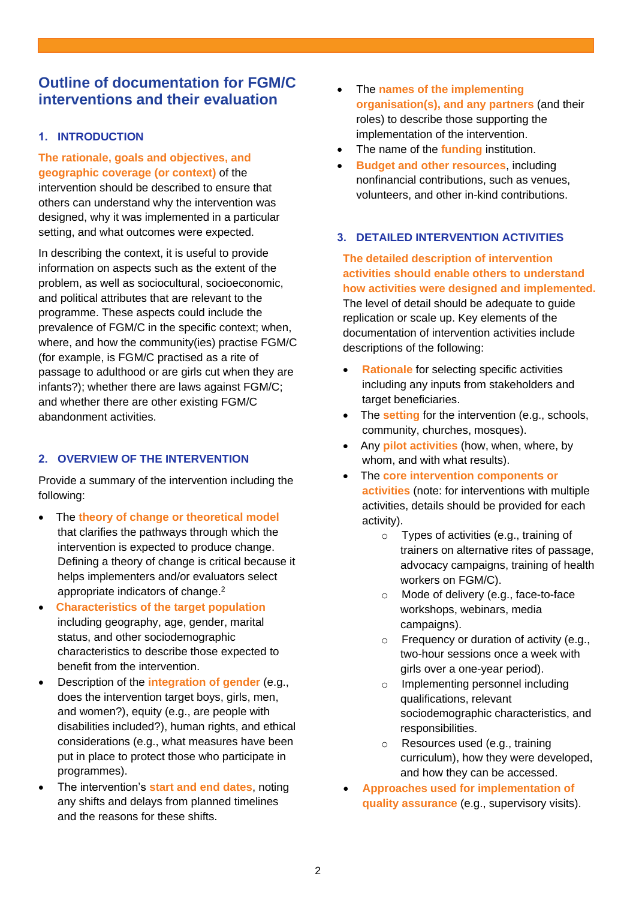## **Outline of documentation for FGM/C interventions and their evaluation**

## **1. INTRODUCTION**

**The rationale, goals and objectives, and geographic coverage (or context)** of the intervention should be described to ensure that others can understand why the intervention was designed, why it was implemented in a particular setting, and what outcomes were expected.

In describing the context, it is useful to provide information on aspects such as the extent of the problem, as well as sociocultural, socioeconomic, and political attributes that are relevant to the programme. These aspects could include the prevalence of FGM/C in the specific context; when, where, and how the community(ies) practise FGM/C (for example, is FGM/C practised as a rite of passage to adulthood or are girls cut when they are infants?); whether there are laws against FGM/C; and whether there are other existing FGM/C abandonment activities.

## **2. OVERVIEW OF THE INTERVENTION**

Provide a summary of the intervention including the following:

- The **theory of change or theoretical model** that clarifies the pathways through which the intervention is expected to produce change. Defining a theory of change is critical because it helps implementers and/or evaluators select appropriate indicators of change.<sup>2</sup>
- **Characteristics of the target population** including geography, age, gender, marital status, and other sociodemographic characteristics to describe those expected to benefit from the intervention.
- Description of the **integration of gender** (e.g., does the intervention target boys, girls, men, and women?), equity (e.g., are people with disabilities included?), human rights, and ethical considerations (e.g., what measures have been put in place to protect those who participate in programmes).
- The intervention's **start and end dates**, noting any shifts and delays from planned timelines and the reasons for these shifts.
- The **names of the implementing organisation(s), and any partners** (and their roles) to describe those supporting the implementation of the intervention.
- The name of the **funding** institution.
- **Budget and other resources**, including nonfinancial contributions, such as venues, volunteers, and other in-kind contributions.

## **3. DETAILED INTERVENTION ACTIVITIES**

**The detailed description of intervention activities should enable others to understand how activities were designed and implemented.** The level of detail should be adequate to guide replication or scale up. Key elements of the documentation of intervention activities include descriptions of the following:

- **Rationale** for selecting specific activities including any inputs from stakeholders and target beneficiaries.
- The **setting** for the intervention (e.g., schools, community, churches, mosques).
- Any **pilot activities** (how, when, where, by whom, and with what results).
- The **core intervention components or activities** (note: for interventions with multiple activities, details should be provided for each activity).
	- o Types of activities (e.g., training of trainers on alternative rites of passage, advocacy campaigns, training of health workers on FGM/C).
	- o Mode of delivery (e.g., face-to-face workshops, webinars, media campaigns).
	- o Frequency or duration of activity (e.g., two-hour sessions once a week with girls over a one-year period).
	- o Implementing personnel including qualifications, relevant sociodemographic characteristics, and responsibilities.
	- o Resources used (e.g., training curriculum), how they were developed, and how they can be accessed.
- **Approaches used for implementation of quality assurance** (e.g., supervisory visits).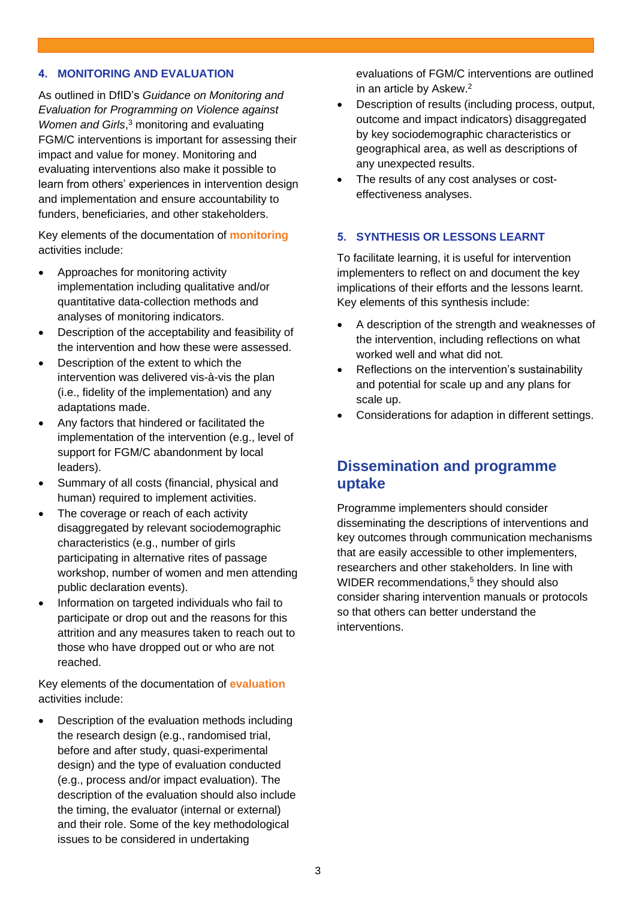## **4. MONITORING AND EVALUATION**

As outlined in DfID's *Guidance on Monitoring and Evaluation for Programming on Violence against Women and Girls*, <sup>3</sup> monitoring and evaluating FGM/C interventions is important for assessing their impact and value for money. Monitoring and evaluating interventions also make it possible to learn from others' experiences in intervention design and implementation and ensure accountability to funders, beneficiaries, and other stakeholders.

Key elements of the documentation of **monitoring** activities include:

- Approaches for monitoring activity implementation including qualitative and/or quantitative data-collection methods and analyses of monitoring indicators.
- Description of the acceptability and feasibility of the intervention and how these were assessed.
- Description of the extent to which the intervention was delivered vis-à-vis the plan (i.e., fidelity of the implementation) and any adaptations made.
- Any factors that hindered or facilitated the implementation of the intervention (e.g., level of support for FGM/C abandonment by local leaders).
- Summary of all costs (financial, physical and human) required to implement activities.
- The coverage or reach of each activity disaggregated by relevant sociodemographic characteristics (e.g., number of girls participating in alternative rites of passage workshop, number of women and men attending public declaration events).
- Information on targeted individuals who fail to participate or drop out and the reasons for this attrition and any measures taken to reach out to those who have dropped out or who are not reached.

Key elements of the documentation of **evaluation** activities include:

• Description of the evaluation methods including the research design (e.g., randomised trial, before and after study, quasi-experimental design) and the type of evaluation conducted (e.g., process and/or impact evaluation). The description of the evaluation should also include the timing, the evaluator (internal or external) and their role. Some of the key methodological issues to be considered in undertaking

evaluations of FGM/C interventions are outlined in an article by Askew. 2

- Description of results (including process, output, outcome and impact indicators) disaggregated by key sociodemographic characteristics or geographical area, as well as descriptions of any unexpected results.
- The results of any cost analyses or costeffectiveness analyses.

## **5. SYNTHESIS OR LESSONS LEARNT**

To facilitate learning, it is useful for intervention implementers to reflect on and document the key implications of their efforts and the lessons learnt. Key elements of this synthesis include:

- A description of the strength and weaknesses of the intervention, including reflections on what worked well and what did not.
- Reflections on the intervention's sustainability and potential for scale up and any plans for scale up.
- Considerations for adaption in different settings.

## **Dissemination and programme uptake**

Programme implementers should consider disseminating the descriptions of interventions and key outcomes through communication mechanisms that are easily accessible to other implementers, researchers and other stakeholders. In line with WIDER recommendations, 5 they should also consider sharing intervention manuals or protocols so that others can better understand the interventions.